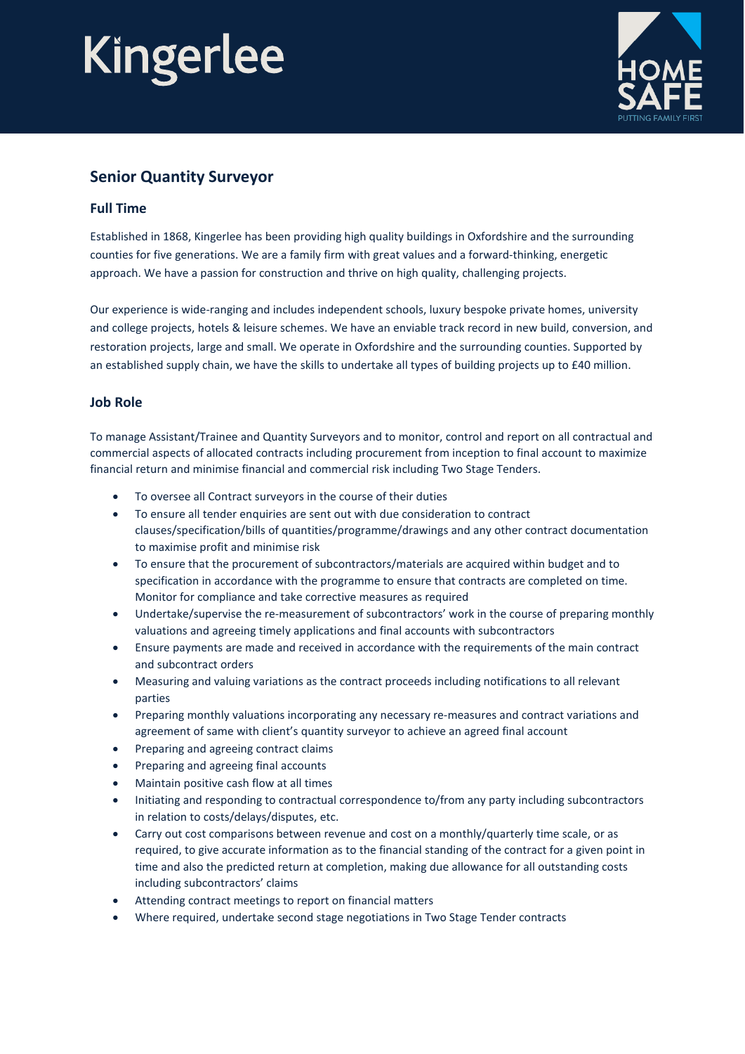# Kingerlee



### **Senior Quantity Surveyor**

#### **Full Time**

Established in 1868, Kingerlee has been providing high quality buildings in Oxfordshire and the surrounding counties for five generations. We are a family firm with great values and a forward-thinking, energetic approach. We have a passion for construction and thrive on high quality, challenging projects.

Our experience is wide-ranging and includes independent schools, luxury bespoke private homes, university and college projects, hotels & leisure schemes. We have an enviable track record in new build, conversion, and restoration projects, large and small. We operate in Oxfordshire and the surrounding counties. Supported by an established supply chain, we have the skills to undertake all types of building projects up to £40 million.

#### **Job Role**

To manage Assistant/Trainee and Quantity Surveyors and to monitor, control and report on all contractual and commercial aspects of allocated contracts including procurement from inception to final account to maximize financial return and minimise financial and commercial risk including Two Stage Tenders.

- To oversee all Contract surveyors in the course of their duties
- To ensure all tender enquiries are sent out with due consideration to contract clauses/specification/bills of quantities/programme/drawings and any other contract documentation to maximise profit and minimise risk
- To ensure that the procurement of subcontractors/materials are acquired within budget and to specification in accordance with the programme to ensure that contracts are completed on time. Monitor for compliance and take corrective measures as required
- Undertake/supervise the re-measurement of subcontractors' work in the course of preparing monthly valuations and agreeing timely applications and final accounts with subcontractors
- Ensure payments are made and received in accordance with the requirements of the main contract and subcontract orders
- Measuring and valuing variations as the contract proceeds including notifications to all relevant parties
- Preparing monthly valuations incorporating any necessary re-measures and contract variations and agreement of same with client's quantity surveyor to achieve an agreed final account
- Preparing and agreeing contract claims
- Preparing and agreeing final accounts
- Maintain positive cash flow at all times
- Initiating and responding to contractual correspondence to/from any party including subcontractors in relation to costs/delays/disputes, etc.
- Carry out cost comparisons between revenue and cost on a monthly/quarterly time scale, or as required, to give accurate information as to the financial standing of the contract for a given point in time and also the predicted return at completion, making due allowance for all outstanding costs including subcontractors' claims
- Attending contract meetings to report on financial matters
- Where required, undertake second stage negotiations in Two Stage Tender contracts